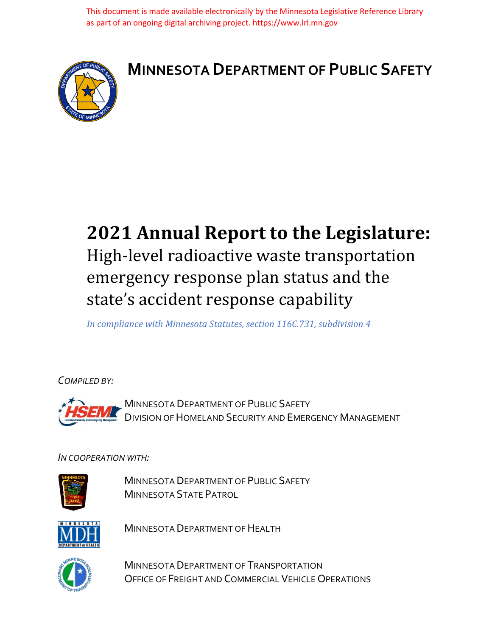This document is made available electronically by the Minnesota Legislative Reference Library as part of an ongoing digital archiving project. https://www.lrl.mn.gov



# **MINNESOTA DEPARTMENT OF PUBLIC SAFETY**

# **2021 Annual Report to the Legislature:** High-level radioactive waste transportation emergency response plan status and the state's accident response capability

*In compliance with Minnesota Statutes, section 116C.731, subdivision 4*

*COMPILED BY:*

MINNESOTA DEPARTMENT OF PUBLIC SAFETY DIVISION OF HOMELAND SECURITY AND EMERGENCY MANAGEMENT

#### *IN COOPERATION WITH:*



MINNESOTA DEPARTMENT OF PUBLIC SAFETY MINNESOTA STATE PATROL



MINNESOTA DEPARTMENT OF HEALTH



MINNESOTA DEPARTMENT OF TRANSPORTATION OFFICE OF FREIGHT AND COMMERCIAL VEHICLE OPERATIONS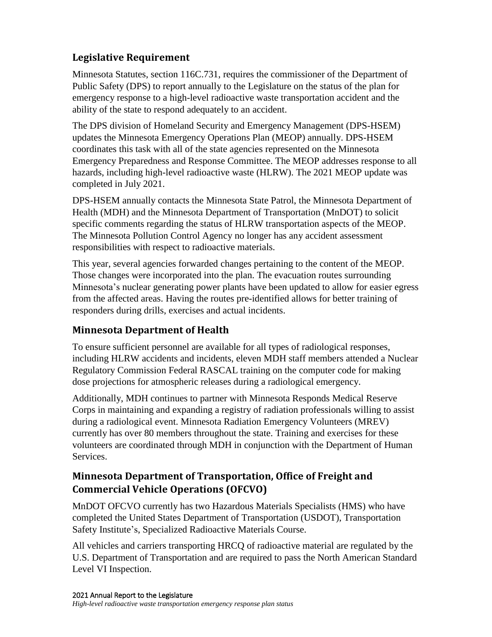# **Legislative Requirement**

Minnesota Statutes, section 116C.731, requires the commissioner of the Department of Public Safety (DPS) to report annually to the Legislature on the status of the plan for emergency response to a high-level radioactive waste transportation accident and the ability of the state to respond adequately to an accident.

The DPS division of Homeland Security and Emergency Management (DPS-HSEM) updates the Minnesota Emergency Operations Plan (MEOP) annually. DPS-HSEM coordinates this task with all of the state agencies represented on the Minnesota Emergency Preparedness and Response Committee. The MEOP addresses response to all hazards, including high-level radioactive waste (HLRW). The 2021 MEOP update was completed in July 2021.

DPS-HSEM annually contacts the Minnesota State Patrol, the Minnesota Department of Health (MDH) and the Minnesota Department of Transportation (MnDOT) to solicit specific comments regarding the status of HLRW transportation aspects of the MEOP. The Minnesota Pollution Control Agency no longer has any accident assessment responsibilities with respect to radioactive materials.

This year, several agencies forwarded changes pertaining to the content of the MEOP. Those changes were incorporated into the plan. The evacuation routes surrounding Minnesota's nuclear generating power plants have been updated to allow for easier egress from the affected areas. Having the routes pre-identified allows for better training of responders during drills, exercises and actual incidents.

#### **Minnesota Department of Health**

To ensure sufficient personnel are available for all types of radiological responses, including HLRW accidents and incidents, eleven MDH staff members attended a Nuclear Regulatory Commission Federal RASCAL training on the computer code for making dose projections for atmospheric releases during a radiological emergency.

Additionally, MDH continues to partner with Minnesota Responds Medical Reserve Corps in maintaining and expanding a registry of radiation professionals willing to assist during a radiological event. Minnesota Radiation Emergency Volunteers (MREV) currently has over 80 members throughout the state. Training and exercises for these volunteers are coordinated through MDH in conjunction with the Department of Human Services.

# **Minnesota Department of Transportation, Office of Freight and Commercial Vehicle Operations (OFCVO)**

MnDOT OFCVO currently has two Hazardous Materials Specialists (HMS) who have completed the United States Department of Transportation (USDOT), Transportation Safety Institute's, Specialized Radioactive Materials Course.

All vehicles and carriers transporting HRCQ of radioactive material are regulated by the U.S. Department of Transportation and are required to pass the North American Standard Level VI Inspection.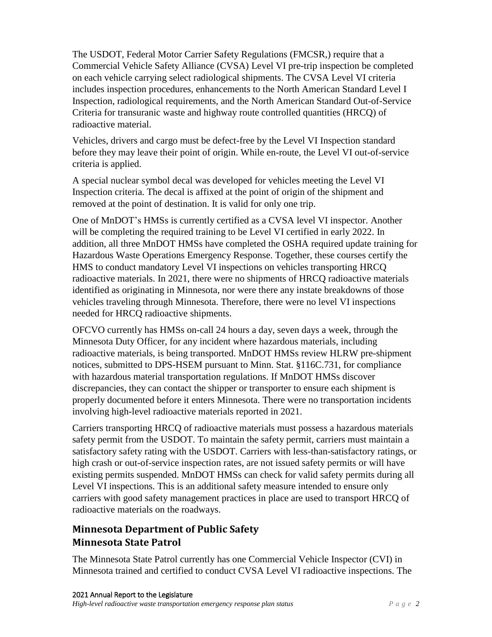The USDOT, Federal Motor Carrier Safety Regulations (FMCSR,) require that a Commercial Vehicle Safety Alliance (CVSA) Level VI pre-trip inspection be completed on each vehicle carrying select radiological shipments. The CVSA Level VI criteria includes inspection procedures, enhancements to the North American Standard Level I Inspection, radiological requirements, and the North American Standard Out-of-Service Criteria for transuranic waste and highway route controlled quantities (HRCQ) of radioactive material.

Vehicles, drivers and cargo must be defect-free by the Level VI Inspection standard before they may leave their point of origin. While en-route, the Level VI out-of-service criteria is applied.

A special nuclear symbol decal was developed for vehicles meeting the Level VI Inspection criteria. The decal is affixed at the point of origin of the shipment and removed at the point of destination. It is valid for only one trip.

One of MnDOT's HMSs is currently certified as a CVSA level VI inspector. Another will be completing the required training to be Level VI certified in early 2022. In addition, all three MnDOT HMSs have completed the OSHA required update training for Hazardous Waste Operations Emergency Response. Together, these courses certify the HMS to conduct mandatory Level VI inspections on vehicles transporting HRCQ radioactive materials. In 2021, there were no shipments of HRCQ radioactive materials identified as originating in Minnesota, nor were there any instate breakdowns of those vehicles traveling through Minnesota. Therefore, there were no level VI inspections needed for HRCQ radioactive shipments.

OFCVO currently has HMSs on-call 24 hours a day, seven days a week, through the Minnesota Duty Officer, for any incident where hazardous materials, including radioactive materials, is being transported. MnDOT HMSs review HLRW pre-shipment notices, submitted to DPS-HSEM pursuant to Minn. Stat. §116C.731, for compliance with hazardous material transportation regulations. If MnDOT HMSs discover discrepancies, they can contact the shipper or transporter to ensure each shipment is properly documented before it enters Minnesota. There were no transportation incidents involving high-level radioactive materials reported in 2021.

Carriers transporting HRCQ of radioactive materials must possess a hazardous materials safety permit from the USDOT. To maintain the safety permit, carriers must maintain a satisfactory safety rating with the USDOT. Carriers with less-than-satisfactory ratings, or high crash or out-of-service inspection rates, are not issued safety permits or will have existing permits suspended. MnDOT HMSs can check for valid safety permits during all Level VI inspections. This is an additional safety measure intended to ensure only carriers with good safety management practices in place are used to transport HRCQ of radioactive materials on the roadways.

# **Minnesota Department of Public Safety Minnesota State Patrol**

The Minnesota State Patrol currently has one Commercial Vehicle Inspector (CVI) in Minnesota trained and certified to conduct CVSA Level VI radioactive inspections. The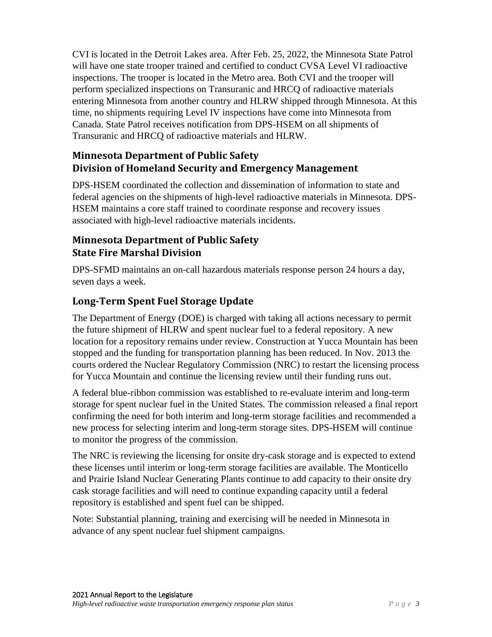CVI is located in the Detroit Lakes area. After Feb. 25, 2022, the Minnesota State Patrol will have one state trooper trained and certified to conduct CVSA Level VI radioactive inspections. The trooper is located in the Metro area. Both CVI and the trooper will perform specialized inspections on Transuranic and HRCQ of radioactive materials entering Minnesota from another country and HLRW shipped through Minnesota. At this time, no shipments requiring Level IV inspections have come into Minnesota from Canada. State Patrol receives notification from DPS-HSEM on all shipments of Transuranic and HRCQ of radioactive materials and HLRW.

## **Minnesota Department of Public Safety Division of Homeland Security and Emergency Management**

DPS-HSEM coordinated the collection and dissemination of information to state and federal agencies on the shipments of high-level radioactive materials in Minnesota. DPS-HSEM maintains a core staff trained to coordinate response and recovery issues associated with high-level radioactive materials incidents.

# **Minnesota Department of Public Safety State Fire Marshal Division**

DPS-SFMD maintains an on-call hazardous materials response person 24 hours a day, seven days a week.

# **Long-Term Spent Fuel Storage Update**

The Department of Energy (DOE) is charged with taking all actions necessary to permit the future shipment of HLRW and spent nuclear fuel to a federal repository. A new location for a repository remains under review. Construction at Yucca Mountain has been stopped and the funding for transportation planning has been reduced. In Nov. 2013 the courts ordered the Nuclear Regulatory Commission (NRC) to restart the licensing process for Yucca Mountain and continue the licensing review until their funding runs out.

A federal blue-ribbon commission was established to re-evaluate interim and long-term storage for spent nuclear fuel in the United States. The commission released a final report confirming the need for both interim and long-term storage facilities and recommended a new process for selecting interim and long-term storage sites. DPS-HSEM will continue to monitor the progress of the commission.

The NRC is reviewing the licensing for onsite dry-cask storage and is expected to extend these licenses until interim or long-term storage facilities are available. The Monticello and Prairie Island Nuclear Generating Plants continue to add capacity to their onsite dry cask storage facilities and will need to continue expanding capacity until a federal repository is established and spent fuel can be shipped.

Note: Substantial planning, training and exercising will be needed in Minnesota in advance of any spent nuclear fuel shipment campaigns.